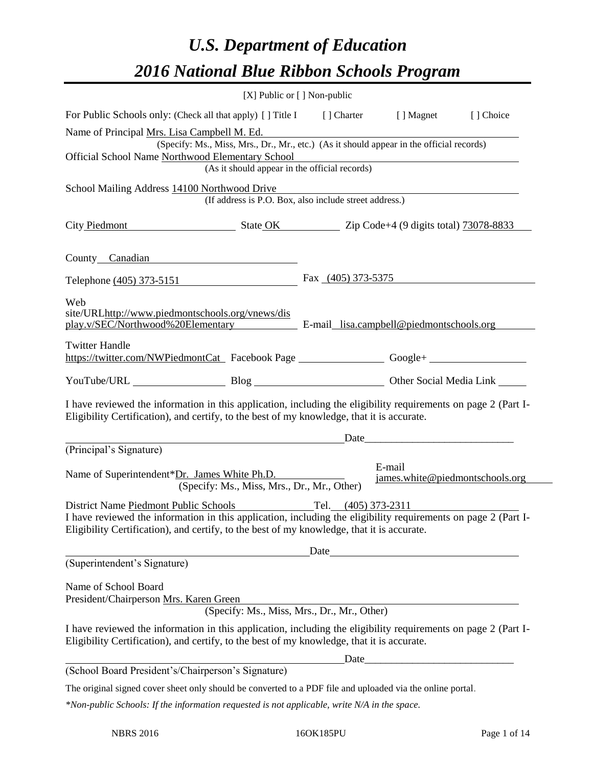# *U.S. Department of Education 2016 National Blue Ribbon Schools Program*

|                                                                                                                                                                                                                                                       |                                             | [X] Public or [] Non-public                                                                                                               |                                           |           |
|-------------------------------------------------------------------------------------------------------------------------------------------------------------------------------------------------------------------------------------------------------|---------------------------------------------|-------------------------------------------------------------------------------------------------------------------------------------------|-------------------------------------------|-----------|
| For Public Schools only: (Check all that apply) [] Title I [] Charter [] Magnet                                                                                                                                                                       |                                             |                                                                                                                                           |                                           | [] Choice |
| Name of Principal Mrs. Lisa Campbell M. Ed.<br>Official School Name Northwood Elementary School                                                                                                                                                       |                                             | (Specify: Ms., Miss, Mrs., Dr., Mr., etc.) (As it should appear in the official records)<br>(As it should appear in the official records) |                                           |           |
| School Mailing Address 14100 Northwood Drive                                                                                                                                                                                                          |                                             | (If address is P.O. Box, also include street address.)                                                                                    |                                           |           |
| City Piedmont State OK Zip Code+4 (9 digits total) 73078-8833                                                                                                                                                                                         |                                             |                                                                                                                                           |                                           |           |
| County Canadian                                                                                                                                                                                                                                       |                                             |                                                                                                                                           |                                           |           |
| Telephone (405) 373-5151                                                                                                                                                                                                                              |                                             | Fax $(405)$ 373-5375                                                                                                                      |                                           |           |
| Web<br>site/URLhttp://www.piedmontschools.org/vnews/dis<br>play.v/SEC/Northwood%20Elementary E-mail lisa.campbell@piedmontschools.org                                                                                                                 |                                             |                                                                                                                                           |                                           |           |
| <b>Twitter Handle</b><br>https://twitter.com/NWPiedmontCat Facebook Page ___________________Google+ _________________________                                                                                                                         |                                             |                                                                                                                                           |                                           |           |
|                                                                                                                                                                                                                                                       |                                             |                                                                                                                                           |                                           |           |
| I have reviewed the information in this application, including the eligibility requirements on page 2 (Part I-<br>Eligibility Certification), and certify, to the best of my knowledge, that it is accurate.                                          |                                             |                                                                                                                                           |                                           |           |
| (Principal's Signature)                                                                                                                                                                                                                               |                                             |                                                                                                                                           |                                           |           |
| Name of Superintendent*Dr. James White Ph.D.                                                                                                                                                                                                          | (Specify: Ms., Miss, Mrs., Dr., Mr., Other) |                                                                                                                                           | E-mail<br>james.white@piedmontschools.org |           |
| District Name Piedmont Public Schools<br>I have reviewed the information in this application, including the eligibility requirements on page 2 (Part I-<br>Eligibility Certification), and certify, to the best of my knowledge, that it is accurate. |                                             | Tel. $(405)$ 373-2311                                                                                                                     |                                           |           |
| (Superintendent's Signature)                                                                                                                                                                                                                          |                                             |                                                                                                                                           | Date                                      |           |
| Name of School Board<br>President/Chairperson Mrs. Karen Green                                                                                                                                                                                        |                                             | (Specify: Ms., Miss, Mrs., Dr., Mr., Other)                                                                                               |                                           |           |
| I have reviewed the information in this application, including the eligibility requirements on page 2 (Part I-<br>Eligibility Certification), and certify, to the best of my knowledge, that it is accurate.                                          |                                             |                                                                                                                                           |                                           |           |
| (School Board President's/Chairperson's Signature)                                                                                                                                                                                                    |                                             |                                                                                                                                           | Date                                      |           |
| The original signed cover sheet only should be converted to a PDF file and uploaded via the online portal.                                                                                                                                            |                                             |                                                                                                                                           |                                           |           |
| *Non-public Schools: If the information requested is not applicable, write N/A in the space.                                                                                                                                                          |                                             |                                                                                                                                           |                                           |           |
|                                                                                                                                                                                                                                                       |                                             |                                                                                                                                           |                                           |           |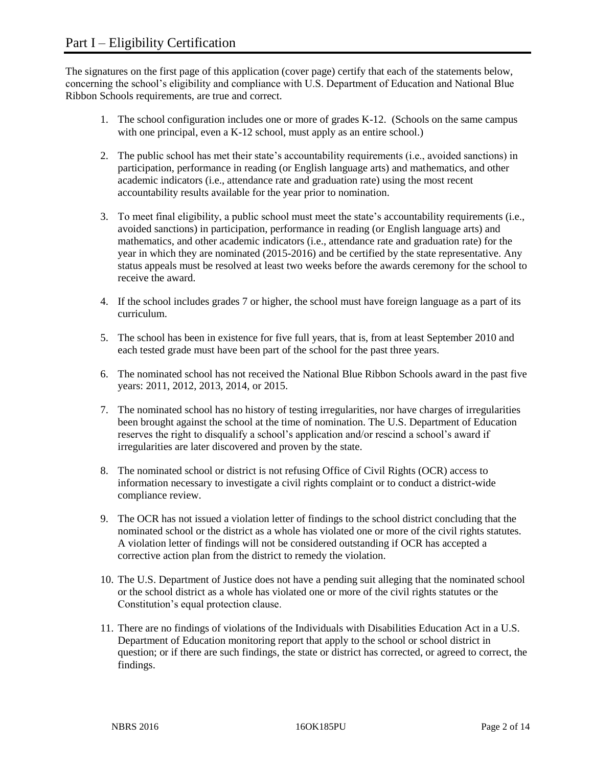The signatures on the first page of this application (cover page) certify that each of the statements below, concerning the school's eligibility and compliance with U.S. Department of Education and National Blue Ribbon Schools requirements, are true and correct.

- 1. The school configuration includes one or more of grades K-12. (Schools on the same campus with one principal, even a K-12 school, must apply as an entire school.)
- 2. The public school has met their state's accountability requirements (i.e., avoided sanctions) in participation, performance in reading (or English language arts) and mathematics, and other academic indicators (i.e., attendance rate and graduation rate) using the most recent accountability results available for the year prior to nomination.
- 3. To meet final eligibility, a public school must meet the state's accountability requirements (i.e., avoided sanctions) in participation, performance in reading (or English language arts) and mathematics, and other academic indicators (i.e., attendance rate and graduation rate) for the year in which they are nominated (2015-2016) and be certified by the state representative. Any status appeals must be resolved at least two weeks before the awards ceremony for the school to receive the award.
- 4. If the school includes grades 7 or higher, the school must have foreign language as a part of its curriculum.
- 5. The school has been in existence for five full years, that is, from at least September 2010 and each tested grade must have been part of the school for the past three years.
- 6. The nominated school has not received the National Blue Ribbon Schools award in the past five years: 2011, 2012, 2013, 2014, or 2015.
- 7. The nominated school has no history of testing irregularities, nor have charges of irregularities been brought against the school at the time of nomination. The U.S. Department of Education reserves the right to disqualify a school's application and/or rescind a school's award if irregularities are later discovered and proven by the state.
- 8. The nominated school or district is not refusing Office of Civil Rights (OCR) access to information necessary to investigate a civil rights complaint or to conduct a district-wide compliance review.
- 9. The OCR has not issued a violation letter of findings to the school district concluding that the nominated school or the district as a whole has violated one or more of the civil rights statutes. A violation letter of findings will not be considered outstanding if OCR has accepted a corrective action plan from the district to remedy the violation.
- 10. The U.S. Department of Justice does not have a pending suit alleging that the nominated school or the school district as a whole has violated one or more of the civil rights statutes or the Constitution's equal protection clause.
- 11. There are no findings of violations of the Individuals with Disabilities Education Act in a U.S. Department of Education monitoring report that apply to the school or school district in question; or if there are such findings, the state or district has corrected, or agreed to correct, the findings.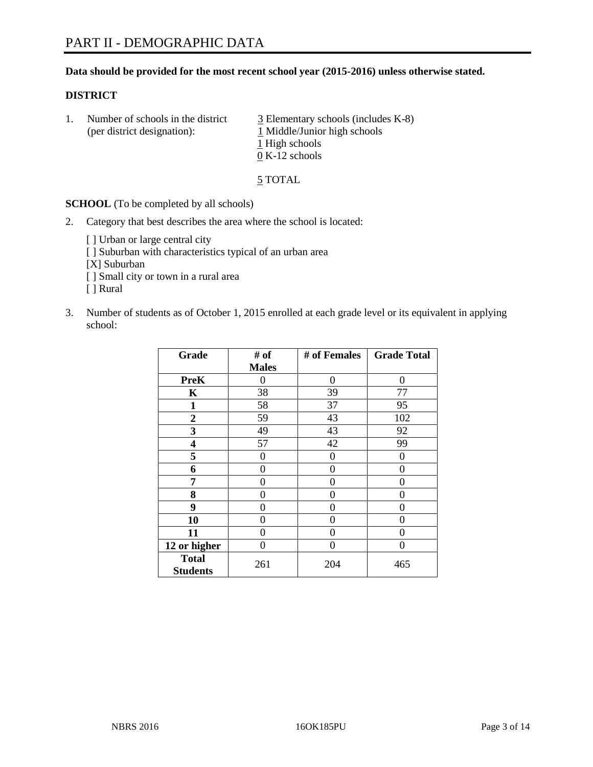#### **Data should be provided for the most recent school year (2015-2016) unless otherwise stated.**

#### **DISTRICT**

1. Number of schools in the district  $\frac{3}{2}$  Elementary schools (includes K-8) (per district designation):  $\frac{1 \text{ Middle/Junior high schools}}{}$ 1 High schools 0 K-12 schools

5 TOTAL

**SCHOOL** (To be completed by all schools)

- 2. Category that best describes the area where the school is located:
	- [] Urban or large central city [ ] Suburban with characteristics typical of an urban area [X] Suburban [ ] Small city or town in a rural area [ ] Rural
- 3. Number of students as of October 1, 2015 enrolled at each grade level or its equivalent in applying school:

| Grade                           | # of         | # of Females | <b>Grade Total</b> |
|---------------------------------|--------------|--------------|--------------------|
|                                 | <b>Males</b> |              |                    |
| <b>PreK</b>                     | 0            | 0            | 0                  |
| K                               | 38           | 39           | 77                 |
| 1                               | 58           | 37           | 95                 |
| $\boldsymbol{2}$                | 59           | 43           | 102                |
| 3                               | 49           | 43           | 92                 |
| $\overline{\mathbf{4}}$         | 57           | 42           | 99                 |
| 5                               | 0            | 0            | $\Omega$           |
| 6                               | 0            | 0            | 0                  |
| 7                               | 0            | 0            | 0                  |
| 8                               | 0            | 0            | 0                  |
| 9                               | 0            | 0            | 0                  |
| 10                              | 0            | 0            | 0                  |
| 11                              | 0            | 0            | $\Omega$           |
| 12 or higher                    | 0            | 0            | $\Omega$           |
| <b>Total</b><br><b>Students</b> | 261          | 204          | 465                |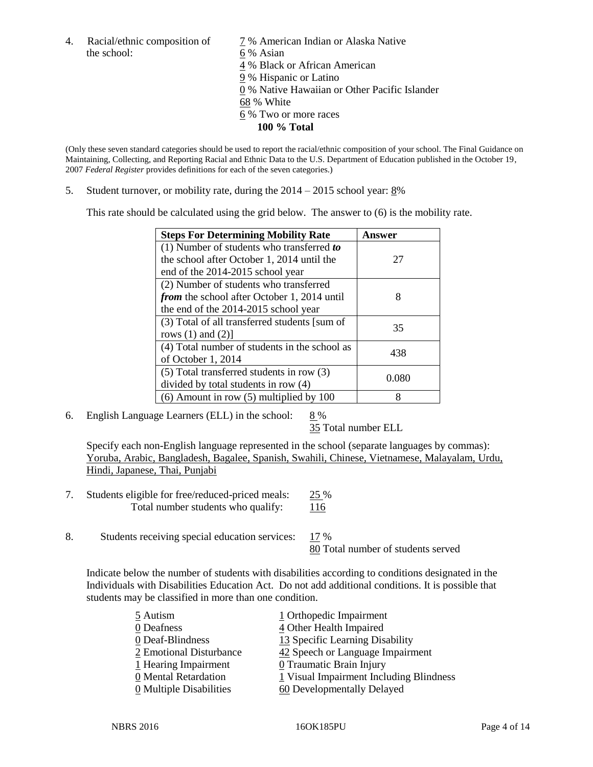the school: 6 % Asian

4. Racial/ethnic composition of  $\frac{7}{9}$ % American Indian or Alaska Native 4 % Black or African American 9 % Hispanic or Latino 0 % Native Hawaiian or Other Pacific Islander 68 % White 6 % Two or more races **100 % Total**

(Only these seven standard categories should be used to report the racial/ethnic composition of your school. The Final Guidance on Maintaining, Collecting, and Reporting Racial and Ethnic Data to the U.S. Department of Education published in the October 19, 2007 *Federal Register* provides definitions for each of the seven categories.)

5. Student turnover, or mobility rate, during the  $2014 - 2015$  school year:  $8\%$ 

This rate should be calculated using the grid below. The answer to (6) is the mobility rate.

| <b>Steps For Determining Mobility Rate</b>         | Answer |  |
|----------------------------------------------------|--------|--|
| $(1)$ Number of students who transferred to        |        |  |
| the school after October 1, 2014 until the         | 27     |  |
| end of the 2014-2015 school year                   |        |  |
| (2) Number of students who transferred             |        |  |
| <i>from</i> the school after October 1, 2014 until | 8      |  |
| the end of the 2014-2015 school year               |        |  |
| (3) Total of all transferred students [sum of      | 35     |  |
| rows $(1)$ and $(2)$ ]                             |        |  |
| (4) Total number of students in the school as      | 438    |  |
| of October 1, 2014                                 |        |  |
| (5) Total transferred students in row (3)          | 0.080  |  |
| divided by total students in row (4)               |        |  |
| $(6)$ Amount in row $(5)$ multiplied by 100        | 8      |  |

6. English Language Learners (ELL) in the school:  $8\%$ 

35 Total number ELL

Specify each non-English language represented in the school (separate languages by commas): Yoruba, Arabic, Bangladesh, Bagalee, Spanish, Swahili, Chinese, Vietnamese, Malayalam, Urdu, Hindi, Japanese, Thai, Punjabi

| Students eligible for free/reduced-priced meals: | 25 % |
|--------------------------------------------------|------|
| Total number students who qualify:               | 116  |

8. Students receiving special education services: 17 % 80 Total number of students served

Indicate below the number of students with disabilities according to conditions designated in the Individuals with Disabilities Education Act. Do not add additional conditions. It is possible that students may be classified in more than one condition.

| 5 Autism                              | 1 Orthopedic Impairment                 |
|---------------------------------------|-----------------------------------------|
| 0 Deafness                            | 4 Other Health Impaired                 |
| 0 Deaf-Blindness                      | 13 Specific Learning Disability         |
| 2 Emotional Disturbance               | 42 Speech or Language Impairment        |
| 1 Hearing Impairment                  | 0 Traumatic Brain Injury                |
| 0 Mental Retardation                  | 1 Visual Impairment Including Blindness |
| $\underline{0}$ Multiple Disabilities | 60 Developmentally Delayed              |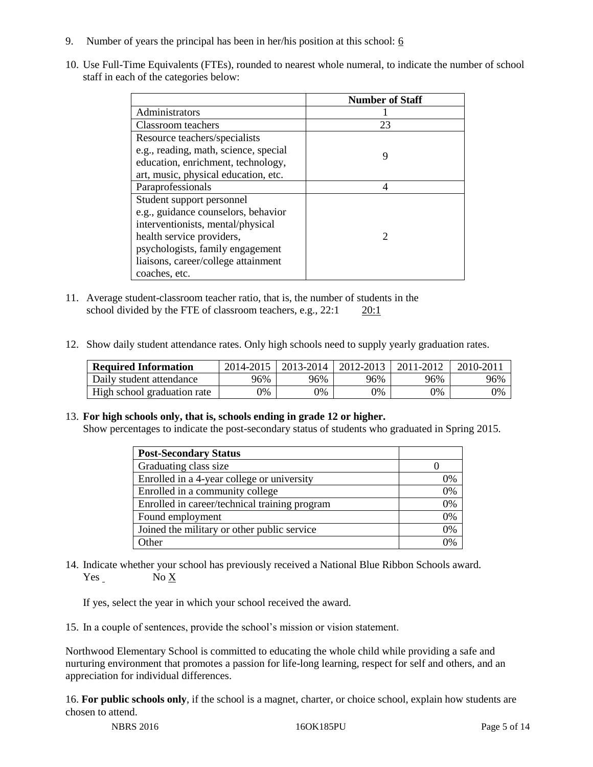- 9. Number of years the principal has been in her/his position at this school:  $6$
- 10. Use Full-Time Equivalents (FTEs), rounded to nearest whole numeral, to indicate the number of school staff in each of the categories below:

|                                       | <b>Number of Staff</b>      |
|---------------------------------------|-----------------------------|
| Administrators                        |                             |
| Classroom teachers                    | 23                          |
| Resource teachers/specialists         |                             |
| e.g., reading, math, science, special | 9                           |
| education, enrichment, technology,    |                             |
| art, music, physical education, etc.  |                             |
| Paraprofessionals                     |                             |
| Student support personnel             |                             |
| e.g., guidance counselors, behavior   |                             |
| interventionists, mental/physical     |                             |
| health service providers,             | $\mathcal{D}_{\mathcal{L}}$ |
| psychologists, family engagement      |                             |
| liaisons, career/college attainment   |                             |
| coaches, etc.                         |                             |

- 11. Average student-classroom teacher ratio, that is, the number of students in the school divided by the FTE of classroom teachers, e.g., 22:1 20:1
- 12. Show daily student attendance rates. Only high schools need to supply yearly graduation rates.

| <b>Required Information</b> | 2014-2015 | 2013-2014 | 2012-2013 | 2011-2012 | 2010-201 |
|-----------------------------|-----------|-----------|-----------|-----------|----------|
| Daily student attendance    | 96%       | 96%       | 96%       | 96%       | 96%      |
| High school graduation rate | 9%        | 0%        | 0%        | 9%        | 0%       |

#### 13. **For high schools only, that is, schools ending in grade 12 or higher.**

Show percentages to indicate the post-secondary status of students who graduated in Spring 2015.

| <b>Post-Secondary Status</b>                  |    |
|-----------------------------------------------|----|
| Graduating class size                         |    |
| Enrolled in a 4-year college or university    | 0% |
| Enrolled in a community college               | 0% |
| Enrolled in career/technical training program | 0% |
| Found employment                              | 0% |
| Joined the military or other public service   | 0% |
| Other                                         | በ% |

14. Indicate whether your school has previously received a National Blue Ribbon Schools award. Yes No X

If yes, select the year in which your school received the award.

15. In a couple of sentences, provide the school's mission or vision statement.

Northwood Elementary School is committed to educating the whole child while providing a safe and nurturing environment that promotes a passion for life-long learning, respect for self and others, and an appreciation for individual differences.

16. **For public schools only**, if the school is a magnet, charter, or choice school, explain how students are chosen to attend.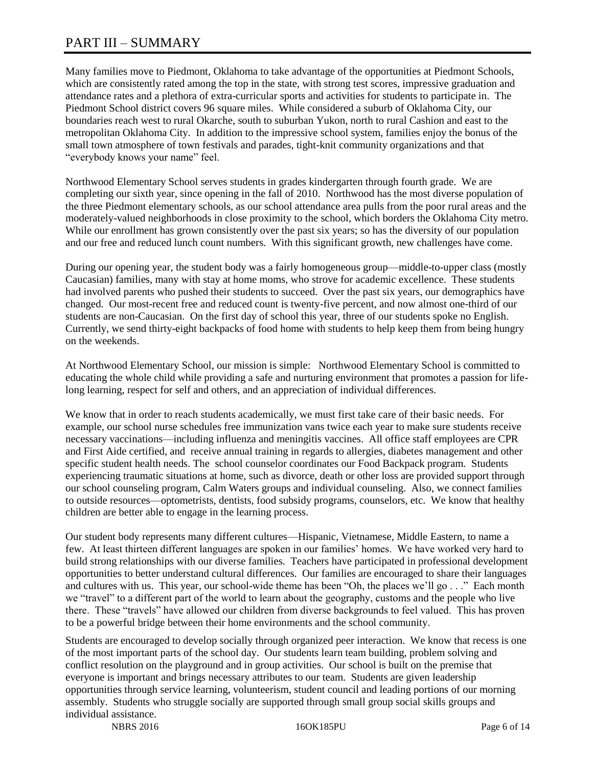# PART III – SUMMARY

Many families move to Piedmont, Oklahoma to take advantage of the opportunities at Piedmont Schools, which are consistently rated among the top in the state, with strong test scores, impressive graduation and attendance rates and a plethora of extra-curricular sports and activities for students to participate in. The Piedmont School district covers 96 square miles. While considered a suburb of Oklahoma City, our boundaries reach west to rural Okarche, south to suburban Yukon, north to rural Cashion and east to the metropolitan Oklahoma City. In addition to the impressive school system, families enjoy the bonus of the small town atmosphere of town festivals and parades, tight-knit community organizations and that "everybody knows your name" feel.

Northwood Elementary School serves students in grades kindergarten through fourth grade. We are completing our sixth year, since opening in the fall of 2010. Northwood has the most diverse population of the three Piedmont elementary schools, as our school attendance area pulls from the poor rural areas and the moderately-valued neighborhoods in close proximity to the school, which borders the Oklahoma City metro. While our enrollment has grown consistently over the past six years; so has the diversity of our population and our free and reduced lunch count numbers. With this significant growth, new challenges have come.

During our opening year, the student body was a fairly homogeneous group—middle-to-upper class (mostly Caucasian) families, many with stay at home moms, who strove for academic excellence. These students had involved parents who pushed their students to succeed. Over the past six years, our demographics have changed. Our most-recent free and reduced count is twenty-five percent, and now almost one-third of our students are non-Caucasian. On the first day of school this year, three of our students spoke no English. Currently, we send thirty-eight backpacks of food home with students to help keep them from being hungry on the weekends.

At Northwood Elementary School, our mission is simple: Northwood Elementary School is committed to educating the whole child while providing a safe and nurturing environment that promotes a passion for lifelong learning, respect for self and others, and an appreciation of individual differences.

We know that in order to reach students academically, we must first take care of their basic needs. For example, our school nurse schedules free immunization vans twice each year to make sure students receive necessary vaccinations—including influenza and meningitis vaccines. All office staff employees are CPR and First Aide certified, and receive annual training in regards to allergies, diabetes management and other specific student health needs. The school counselor coordinates our Food Backpack program. Students experiencing traumatic situations at home, such as divorce, death or other loss are provided support through our school counseling program, Calm Waters groups and individual counseling. Also, we connect families to outside resources—optometrists, dentists, food subsidy programs, counselors, etc. We know that healthy children are better able to engage in the learning process.

Our student body represents many different cultures—Hispanic, Vietnamese, Middle Eastern, to name a few. At least thirteen different languages are spoken in our families' homes. We have worked very hard to build strong relationships with our diverse families. Teachers have participated in professional development opportunities to better understand cultural differences. Our families are encouraged to share their languages and cultures with us. This year, our school-wide theme has been "Oh, the places we'll go . . ." Each month we "travel" to a different part of the world to learn about the geography, customs and the people who live there. These "travels" have allowed our children from diverse backgrounds to feel valued. This has proven to be a powerful bridge between their home environments and the school community.

Students are encouraged to develop socially through organized peer interaction. We know that recess is one of the most important parts of the school day. Our students learn team building, problem solving and conflict resolution on the playground and in group activities. Our school is built on the premise that everyone is important and brings necessary attributes to our team. Students are given leadership opportunities through service learning, volunteerism, student council and leading portions of our morning assembly. Students who struggle socially are supported through small group social skills groups and individual assistance.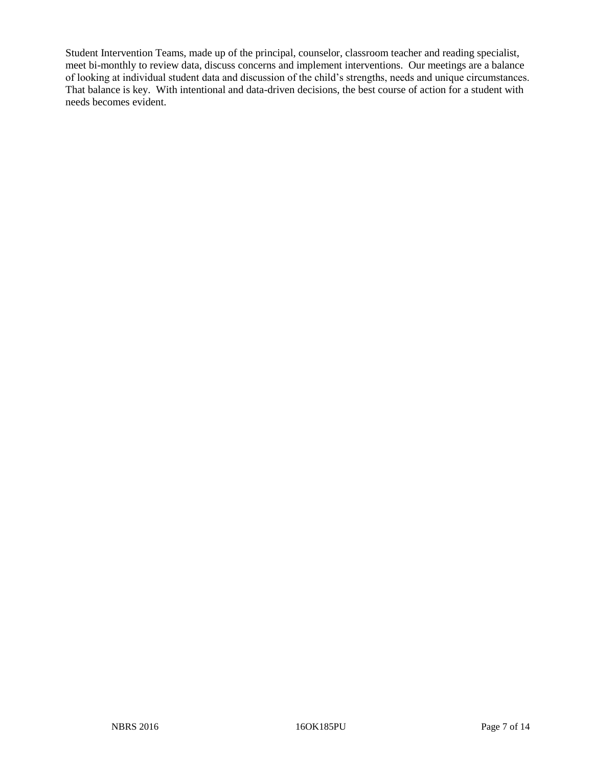Student Intervention Teams, made up of the principal, counselor, classroom teacher and reading specialist, meet bi-monthly to review data, discuss concerns and implement interventions. Our meetings are a balance of looking at individual student data and discussion of the child's strengths, needs and unique circumstances. That balance is key. With intentional and data-driven decisions, the best course of action for a student with needs becomes evident.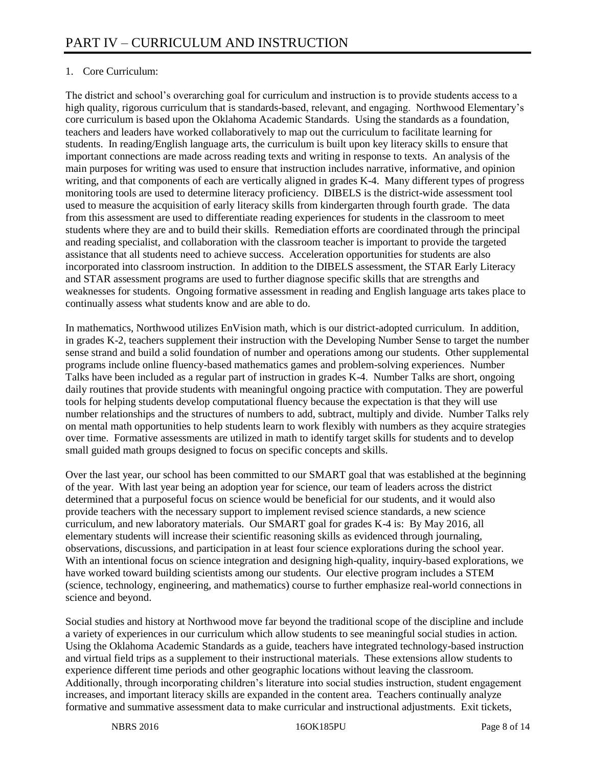## 1. Core Curriculum:

The district and school's overarching goal for curriculum and instruction is to provide students access to a high quality, rigorous curriculum that is standards-based, relevant, and engaging. Northwood Elementary's core curriculum is based upon the Oklahoma Academic Standards. Using the standards as a foundation, teachers and leaders have worked collaboratively to map out the curriculum to facilitate learning for students. In reading/English language arts, the curriculum is built upon key literacy skills to ensure that important connections are made across reading texts and writing in response to texts. An analysis of the main purposes for writing was used to ensure that instruction includes narrative, informative, and opinion writing, and that components of each are vertically aligned in grades K-4. Many different types of progress monitoring tools are used to determine literacy proficiency. DIBELS is the district-wide assessment tool used to measure the acquisition of early literacy skills from kindergarten through fourth grade. The data from this assessment are used to differentiate reading experiences for students in the classroom to meet students where they are and to build their skills. Remediation efforts are coordinated through the principal and reading specialist, and collaboration with the classroom teacher is important to provide the targeted assistance that all students need to achieve success. Acceleration opportunities for students are also incorporated into classroom instruction. In addition to the DIBELS assessment, the STAR Early Literacy and STAR assessment programs are used to further diagnose specific skills that are strengths and weaknesses for students. Ongoing formative assessment in reading and English language arts takes place to continually assess what students know and are able to do.

In mathematics, Northwood utilizes EnVision math, which is our district-adopted curriculum. In addition, in grades K-2, teachers supplement their instruction with the Developing Number Sense to target the number sense strand and build a solid foundation of number and operations among our students. Other supplemental programs include online fluency-based mathematics games and problem-solving experiences. Number Talks have been included as a regular part of instruction in grades K-4. Number Talks are short, ongoing daily routines that provide students with meaningful ongoing practice with computation. They are powerful tools for helping students develop computational fluency because the expectation is that they will use number relationships and the structures of numbers to add, subtract, multiply and divide. Number Talks rely on mental math opportunities to help students learn to work flexibly with numbers as they acquire strategies over time. Formative assessments are utilized in math to identify target skills for students and to develop small guided math groups designed to focus on specific concepts and skills.

Over the last year, our school has been committed to our SMART goal that was established at the beginning of the year. With last year being an adoption year for science, our team of leaders across the district determined that a purposeful focus on science would be beneficial for our students, and it would also provide teachers with the necessary support to implement revised science standards, a new science curriculum, and new laboratory materials. Our SMART goal for grades K-4 is: By May 2016, all elementary students will increase their scientific reasoning skills as evidenced through journaling, observations, discussions, and participation in at least four science explorations during the school year. With an intentional focus on science integration and designing high-quality, inquiry-based explorations, we have worked toward building scientists among our students. Our elective program includes a STEM (science, technology, engineering, and mathematics) course to further emphasize real-world connections in science and beyond.

Social studies and history at Northwood move far beyond the traditional scope of the discipline and include a variety of experiences in our curriculum which allow students to see meaningful social studies in action. Using the Oklahoma Academic Standards as a guide, teachers have integrated technology-based instruction and virtual field trips as a supplement to their instructional materials. These extensions allow students to experience different time periods and other geographic locations without leaving the classroom. Additionally, through incorporating children's literature into social studies instruction, student engagement increases, and important literacy skills are expanded in the content area. Teachers continually analyze formative and summative assessment data to make curricular and instructional adjustments. Exit tickets,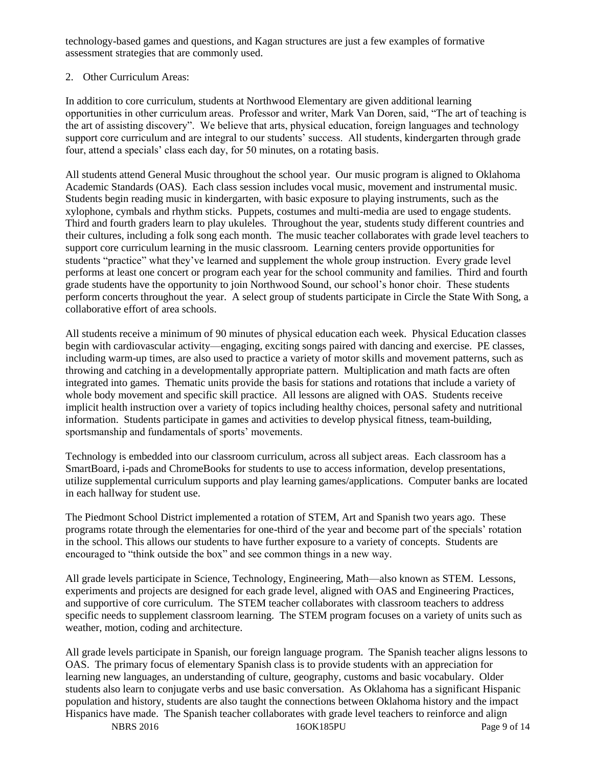technology-based games and questions, and Kagan structures are just a few examples of formative assessment strategies that are commonly used.

#### 2. Other Curriculum Areas:

In addition to core curriculum, students at Northwood Elementary are given additional learning opportunities in other curriculum areas. Professor and writer, Mark Van Doren, said, "The art of teaching is the art of assisting discovery". We believe that arts, physical education, foreign languages and technology support core curriculum and are integral to our students' success. All students, kindergarten through grade four, attend a specials' class each day, for 50 minutes, on a rotating basis.

All students attend General Music throughout the school year. Our music program is aligned to Oklahoma Academic Standards (OAS). Each class session includes vocal music, movement and instrumental music. Students begin reading music in kindergarten, with basic exposure to playing instruments, such as the xylophone, cymbals and rhythm sticks. Puppets, costumes and multi-media are used to engage students. Third and fourth graders learn to play ukuleles. Throughout the year, students study different countries and their cultures, including a folk song each month. The music teacher collaborates with grade level teachers to support core curriculum learning in the music classroom. Learning centers provide opportunities for students "practice" what they've learned and supplement the whole group instruction. Every grade level performs at least one concert or program each year for the school community and families. Third and fourth grade students have the opportunity to join Northwood Sound, our school's honor choir. These students perform concerts throughout the year. A select group of students participate in Circle the State With Song, a collaborative effort of area schools.

All students receive a minimum of 90 minutes of physical education each week. Physical Education classes begin with cardiovascular activity—engaging, exciting songs paired with dancing and exercise. PE classes, including warm-up times, are also used to practice a variety of motor skills and movement patterns, such as throwing and catching in a developmentally appropriate pattern. Multiplication and math facts are often integrated into games. Thematic units provide the basis for stations and rotations that include a variety of whole body movement and specific skill practice. All lessons are aligned with OAS. Students receive implicit health instruction over a variety of topics including healthy choices, personal safety and nutritional information. Students participate in games and activities to develop physical fitness, team-building, sportsmanship and fundamentals of sports' movements.

Technology is embedded into our classroom curriculum, across all subject areas. Each classroom has a SmartBoard, i-pads and ChromeBooks for students to use to access information, develop presentations, utilize supplemental curriculum supports and play learning games/applications. Computer banks are located in each hallway for student use.

The Piedmont School District implemented a rotation of STEM, Art and Spanish two years ago. These programs rotate through the elementaries for one-third of the year and become part of the specials' rotation in the school. This allows our students to have further exposure to a variety of concepts. Students are encouraged to "think outside the box" and see common things in a new way.

All grade levels participate in Science, Technology, Engineering, Math—also known as STEM. Lessons, experiments and projects are designed for each grade level, aligned with OAS and Engineering Practices, and supportive of core curriculum. The STEM teacher collaborates with classroom teachers to address specific needs to supplement classroom learning. The STEM program focuses on a variety of units such as weather, motion, coding and architecture.

All grade levels participate in Spanish, our foreign language program. The Spanish teacher aligns lessons to OAS. The primary focus of elementary Spanish class is to provide students with an appreciation for learning new languages, an understanding of culture, geography, customs and basic vocabulary. Older students also learn to conjugate verbs and use basic conversation. As Oklahoma has a significant Hispanic population and history, students are also taught the connections between Oklahoma history and the impact Hispanics have made. The Spanish teacher collaborates with grade level teachers to reinforce and align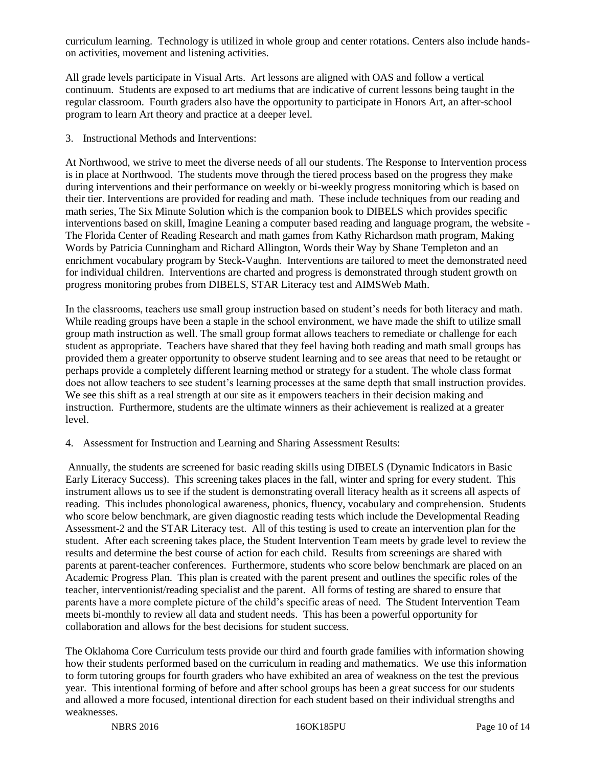curriculum learning. Technology is utilized in whole group and center rotations. Centers also include handson activities, movement and listening activities.

All grade levels participate in Visual Arts. Art lessons are aligned with OAS and follow a vertical continuum. Students are exposed to art mediums that are indicative of current lessons being taught in the regular classroom. Fourth graders also have the opportunity to participate in Honors Art, an after-school program to learn Art theory and practice at a deeper level.

3. Instructional Methods and Interventions:

At Northwood, we strive to meet the diverse needs of all our students. The Response to Intervention process is in place at Northwood. The students move through the tiered process based on the progress they make during interventions and their performance on weekly or bi-weekly progress monitoring which is based on their tier. Interventions are provided for reading and math. These include techniques from our reading and math series, The Six Minute Solution which is the companion book to DIBELS which provides specific interventions based on skill, Imagine Leaning a computer based reading and language program, the website - The Florida Center of Reading Research and math games from Kathy Richardson math program, Making Words by Patricia Cunningham and Richard Allington, Words their Way by Shane Templeton and an enrichment vocabulary program by Steck-Vaughn. Interventions are tailored to meet the demonstrated need for individual children. Interventions are charted and progress is demonstrated through student growth on progress monitoring probes from DIBELS, STAR Literacy test and AIMSWeb Math.

In the classrooms, teachers use small group instruction based on student's needs for both literacy and math. While reading groups have been a staple in the school environment, we have made the shift to utilize small group math instruction as well. The small group format allows teachers to remediate or challenge for each student as appropriate. Teachers have shared that they feel having both reading and math small groups has provided them a greater opportunity to observe student learning and to see areas that need to be retaught or perhaps provide a completely different learning method or strategy for a student. The whole class format does not allow teachers to see student's learning processes at the same depth that small instruction provides. We see this shift as a real strength at our site as it empowers teachers in their decision making and instruction. Furthermore, students are the ultimate winners as their achievement is realized at a greater level.

4. Assessment for Instruction and Learning and Sharing Assessment Results:

Annually, the students are screened for basic reading skills using DIBELS (Dynamic Indicators in Basic Early Literacy Success). This screening takes places in the fall, winter and spring for every student. This instrument allows us to see if the student is demonstrating overall literacy health as it screens all aspects of reading. This includes phonological awareness, phonics, fluency, vocabulary and comprehension. Students who score below benchmark, are given diagnostic reading tests which include the Developmental Reading Assessment-2 and the STAR Literacy test. All of this testing is used to create an intervention plan for the student. After each screening takes place, the Student Intervention Team meets by grade level to review the results and determine the best course of action for each child. Results from screenings are shared with parents at parent-teacher conferences. Furthermore, students who score below benchmark are placed on an Academic Progress Plan. This plan is created with the parent present and outlines the specific roles of the teacher, interventionist/reading specialist and the parent. All forms of testing are shared to ensure that parents have a more complete picture of the child's specific areas of need. The Student Intervention Team meets bi-monthly to review all data and student needs. This has been a powerful opportunity for collaboration and allows for the best decisions for student success.

The Oklahoma Core Curriculum tests provide our third and fourth grade families with information showing how their students performed based on the curriculum in reading and mathematics. We use this information to form tutoring groups for fourth graders who have exhibited an area of weakness on the test the previous year. This intentional forming of before and after school groups has been a great success for our students and allowed a more focused, intentional direction for each student based on their individual strengths and weaknesses.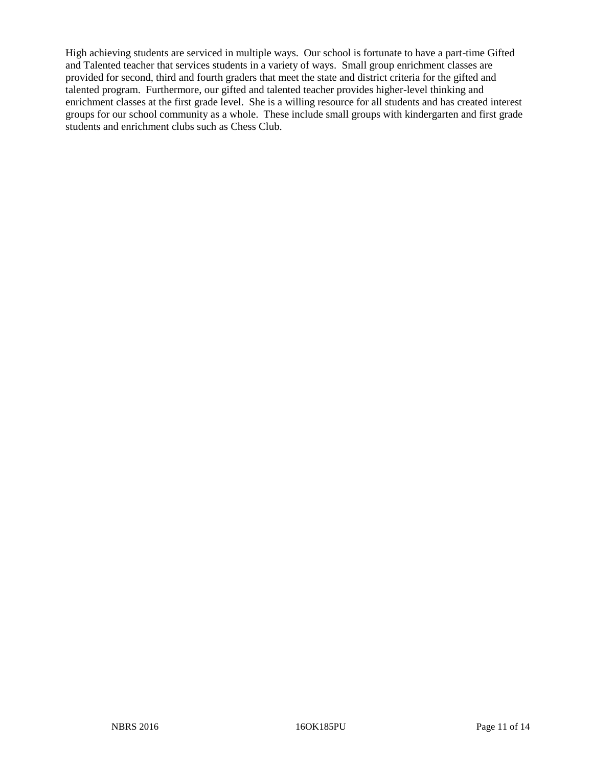High achieving students are serviced in multiple ways. Our school is fortunate to have a part-time Gifted and Talented teacher that services students in a variety of ways. Small group enrichment classes are provided for second, third and fourth graders that meet the state and district criteria for the gifted and talented program. Furthermore, our gifted and talented teacher provides higher-level thinking and enrichment classes at the first grade level. She is a willing resource for all students and has created interest groups for our school community as a whole. These include small groups with kindergarten and first grade students and enrichment clubs such as Chess Club.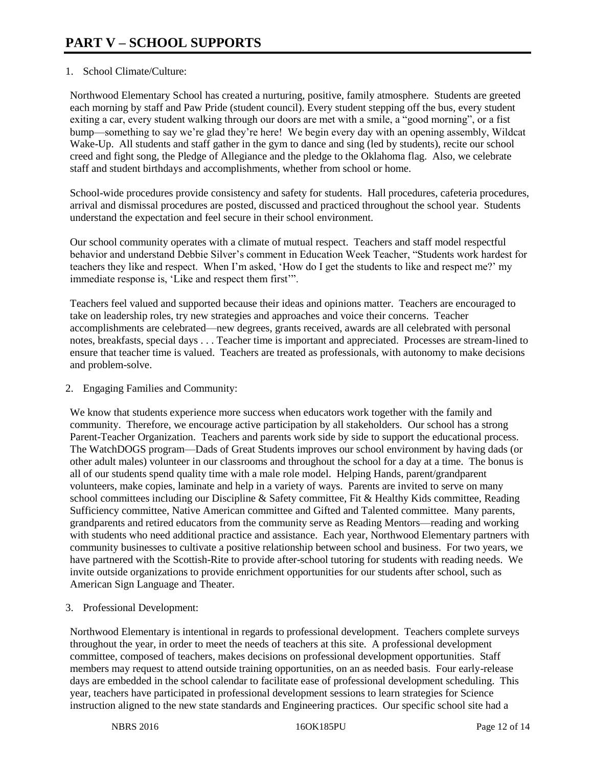### 1. School Climate/Culture:

Northwood Elementary School has created a nurturing, positive, family atmosphere. Students are greeted each morning by staff and Paw Pride (student council). Every student stepping off the bus, every student exiting a car, every student walking through our doors are met with a smile, a "good morning", or a fist bump—something to say we're glad they're here! We begin every day with an opening assembly, Wildcat Wake-Up. All students and staff gather in the gym to dance and sing (led by students), recite our school creed and fight song, the Pledge of Allegiance and the pledge to the Oklahoma flag. Also, we celebrate staff and student birthdays and accomplishments, whether from school or home.

School-wide procedures provide consistency and safety for students. Hall procedures, cafeteria procedures, arrival and dismissal procedures are posted, discussed and practiced throughout the school year. Students understand the expectation and feel secure in their school environment.

Our school community operates with a climate of mutual respect. Teachers and staff model respectful behavior and understand Debbie Silver's comment in Education Week Teacher, "Students work hardest for teachers they like and respect. When I'm asked, 'How do I get the students to like and respect me?' my immediate response is, 'Like and respect them first'".

Teachers feel valued and supported because their ideas and opinions matter. Teachers are encouraged to take on leadership roles, try new strategies and approaches and voice their concerns. Teacher accomplishments are celebrated—new degrees, grants received, awards are all celebrated with personal notes, breakfasts, special days . . . Teacher time is important and appreciated. Processes are stream-lined to ensure that teacher time is valued. Teachers are treated as professionals, with autonomy to make decisions and problem-solve.

#### 2. Engaging Families and Community:

We know that students experience more success when educators work together with the family and community. Therefore, we encourage active participation by all stakeholders. Our school has a strong Parent-Teacher Organization. Teachers and parents work side by side to support the educational process. The WatchDOGS program—Dads of Great Students improves our school environment by having dads (or other adult males) volunteer in our classrooms and throughout the school for a day at a time. The bonus is all of our students spend quality time with a male role model. Helping Hands, parent/grandparent volunteers, make copies, laminate and help in a variety of ways. Parents are invited to serve on many school committees including our Discipline & Safety committee, Fit & Healthy Kids committee, Reading Sufficiency committee, Native American committee and Gifted and Talented committee. Many parents, grandparents and retired educators from the community serve as Reading Mentors—reading and working with students who need additional practice and assistance. Each year, Northwood Elementary partners with community businesses to cultivate a positive relationship between school and business. For two years, we have partnered with the Scottish-Rite to provide after-school tutoring for students with reading needs. We invite outside organizations to provide enrichment opportunities for our students after school, such as American Sign Language and Theater.

#### 3. Professional Development:

Northwood Elementary is intentional in regards to professional development. Teachers complete surveys throughout the year, in order to meet the needs of teachers at this site. A professional development committee, composed of teachers, makes decisions on professional development opportunities. Staff members may request to attend outside training opportunities, on an as needed basis. Four early-release days are embedded in the school calendar to facilitate ease of professional development scheduling. This year, teachers have participated in professional development sessions to learn strategies for Science instruction aligned to the new state standards and Engineering practices. Our specific school site had a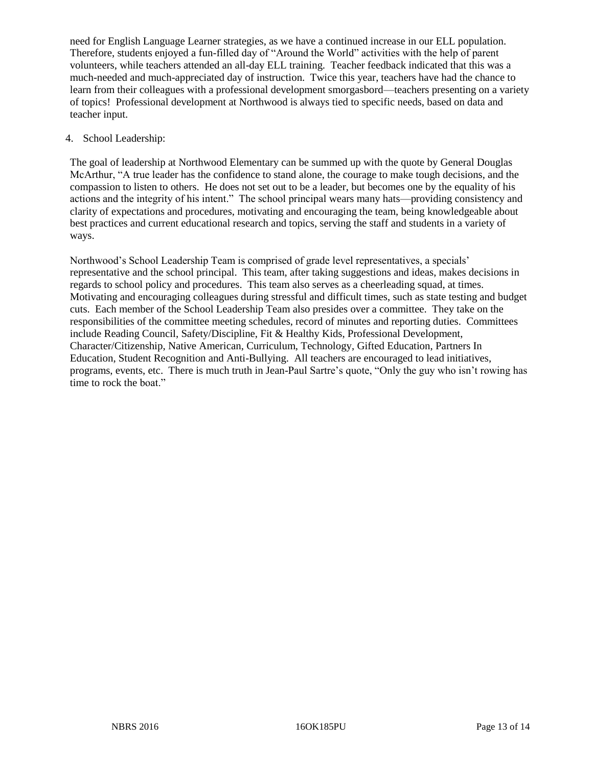need for English Language Learner strategies, as we have a continued increase in our ELL population. Therefore, students enjoyed a fun-filled day of "Around the World" activities with the help of parent volunteers, while teachers attended an all-day ELL training. Teacher feedback indicated that this was a much-needed and much-appreciated day of instruction. Twice this year, teachers have had the chance to learn from their colleagues with a professional development smorgasbord—teachers presenting on a variety of topics! Professional development at Northwood is always tied to specific needs, based on data and teacher input.

#### 4. School Leadership:

The goal of leadership at Northwood Elementary can be summed up with the quote by General Douglas McArthur, "A true leader has the confidence to stand alone, the courage to make tough decisions, and the compassion to listen to others. He does not set out to be a leader, but becomes one by the equality of his actions and the integrity of his intent." The school principal wears many hats—providing consistency and clarity of expectations and procedures, motivating and encouraging the team, being knowledgeable about best practices and current educational research and topics, serving the staff and students in a variety of ways.

Northwood's School Leadership Team is comprised of grade level representatives, a specials' representative and the school principal. This team, after taking suggestions and ideas, makes decisions in regards to school policy and procedures. This team also serves as a cheerleading squad, at times. Motivating and encouraging colleagues during stressful and difficult times, such as state testing and budget cuts. Each member of the School Leadership Team also presides over a committee. They take on the responsibilities of the committee meeting schedules, record of minutes and reporting duties. Committees include Reading Council, Safety/Discipline, Fit & Healthy Kids, Professional Development, Character/Citizenship, Native American, Curriculum, Technology, Gifted Education, Partners In Education, Student Recognition and Anti-Bullying. All teachers are encouraged to lead initiatives, programs, events, etc. There is much truth in Jean-Paul Sartre's quote, "Only the guy who isn't rowing has time to rock the boat."